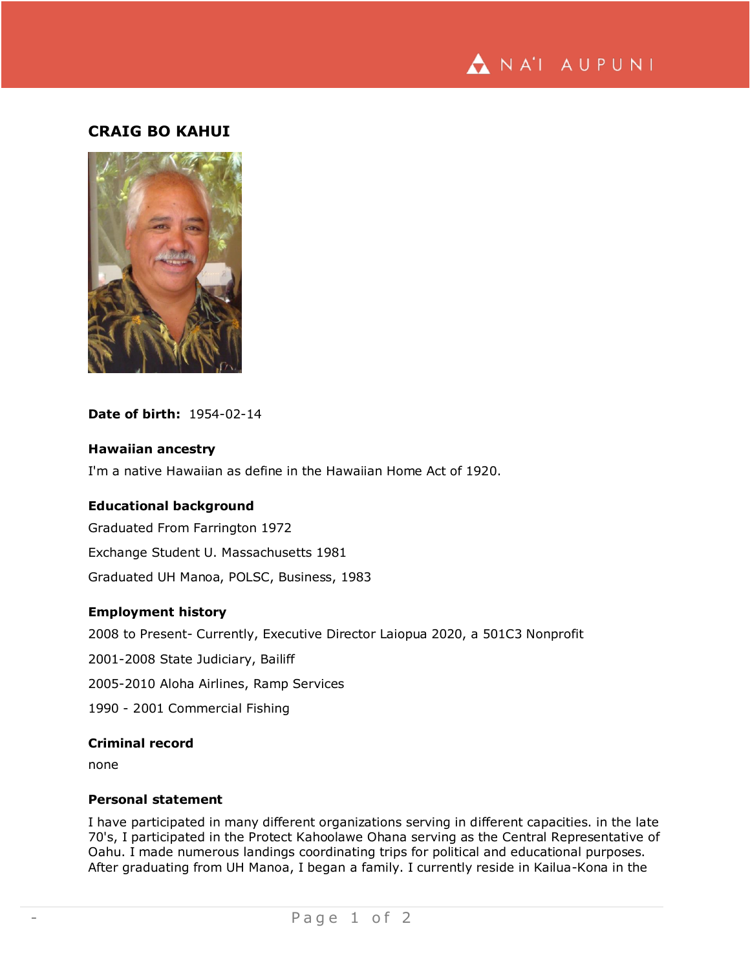

# **CRAIG BO KAHUI**



## **Date of birth:** 1954-02-14

#### **Hawaiian ancestry**

I'm a native Hawaiian as define in the Hawaiian Home Act of 1920.

### **Educational background**

Graduated From Farrington 1972 Exchange Student U. Massachusetts 1981 Graduated UH Manoa, POLSC, Business, 1983

#### **Employment history**

2008 to Present- Currently, Executive Director Laiopua 2020, a 501C3 Nonprofit

- 2001-2008 State Judiciary, Bailiff
- 2005-2010 Aloha Airlines, Ramp Services
- 1990 2001 Commercial Fishing

### **Criminal record**

none

#### **Personal statement**

I have participated in many different organizations serving in different capacities. in the late 70's, I participated in the Protect Kahoolawe Ohana serving as the Central Representative of Oahu. I made numerous landings coordinating trips for political and educational purposes. After graduating from UH Manoa, I began a family. I currently reside in Kailua-Kona in the